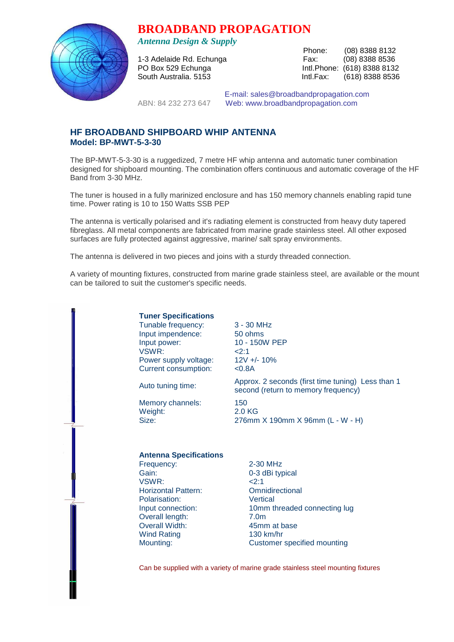# **BROADBAND PROPAGATION**



*Antenna Design & Supply* 

 Phone: (08) 8388 8132 1-3 Adelaide Rd. Echunga Fax: (08) 8388 8536 PO Box 529 Echunga **Intl.Phone:** (618) 8388 8132 South Australia. 5153 Intl.Fax: (618) 8388 8536

 E-mail: sales@broadbandpropagation.com ABN: 84 232 273 647 Web: www.broadbandpropagation.com

# **HF BROADBAND SHIPBOARD WHIP ANTENNA Model: BP-MWT-5-3-30**

The BP-MWT-5-3-30 is a ruggedized, 7 metre HF whip antenna and automatic tuner combination designed for shipboard mounting. The combination offers continuous and automatic coverage of the HF Band from 3-30 MHz.

The tuner is housed in a fully marinized enclosure and has 150 memory channels enabling rapid tune time. Power rating is 10 to 150 Watts SSB PEP

The antenna is vertically polarised and it's radiating element is constructed from heavy duty tapered fibreglass. All metal components are fabricated from marine grade stainless steel. All other exposed surfaces are fully protected against aggressive, marine/ salt spray environments.

The antenna is delivered in two pieces and joins with a sturdy threaded connection.

A variety of mounting fixtures, constructed from marine grade stainless steel, are available or the mount can be tailored to suit the customer's specific needs.

> **Tuner Specifications** Tunable frequency: 3 - 30 MHz Input impendence: 50 ohms Input power: 10 - 150W PEP  $VSWR$ :  $\leq$  2:1 Power supply voltage: 12V +/- 10% Current consumption: <0.8A

Memory channels: 150 Weight: 2.0 KG

Auto tuning time: Approx. 2 seconds (first time tuning) Less than 1 second (return to memory frequency)

Size: 276mm X 190mm X 96mm (L - W - H)

#### **Antenna Specifications**

Frequency: 2-30 MHz Gain: 0-3 dBi typical VSWR: <2:1 Horizontal Pattern: Omnidirectional Polarisation: Vertical Overall length: 7.0m Overall Width: 45mm at base Wind Rating 130 km/hr

Input connection: 10mm threaded connecting lug Mounting: Customer specified mounting

Can be supplied with a variety of marine grade stainless steel mounting fixtures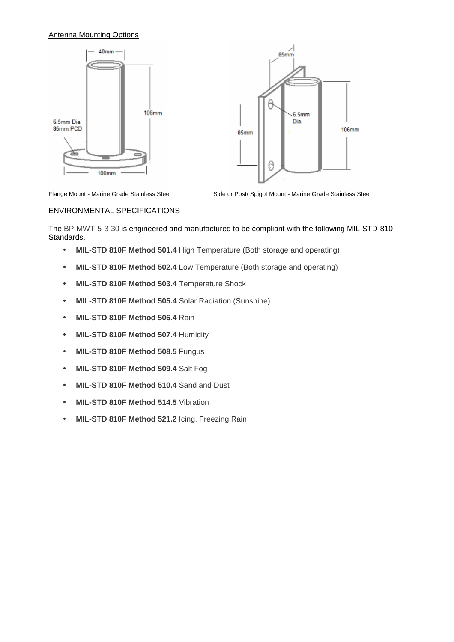## Antenna Mounting Options





Flange Mount - Marine Grade Stainless Steel

Side or Post/ Spigot Mount - Marine Grade Stainless Steel

#### ENVIRONMENTAL SPECIFICATIONS

The BP-MWT-5-3-30 is engineered and manufactured to be compliant with the following MIL-STD-810 Standards.

- **MIL-STD 810F Method 501.4** High Temperature (Both storage and operating)
- **MIL-STD 810F Method 502.4** Low Temperature (Both storage and operating)
- **MIL-STD 810F Method 503.4** Temperature Shock
- **MIL-STD 810F Method 505.4** Solar Radiation (Sunshine)
- **MIL-STD 810F Method 506.4** Rain
- **MIL-STD 810F Method 507.4** Humidity
- **MIL-STD 810F Method 508.5** Fungus
- **MIL-STD 810F Method 509.4** Salt Fog
- **MIL-STD 810F Method 510.4** Sand and Dust
- **MIL-STD 810F Method 514.5** Vibration
- **MIL-STD 810F Method 521.2** Icing, Freezing Rain